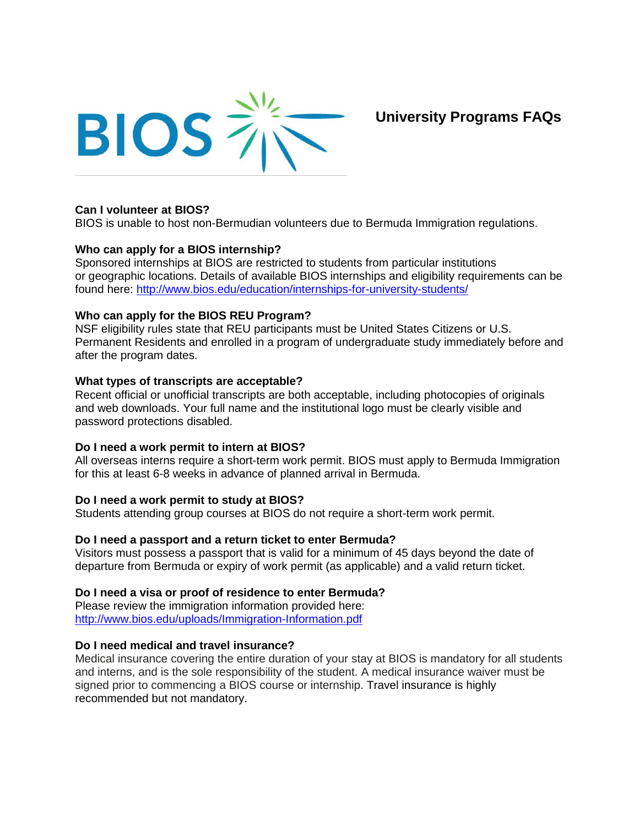

**University Programs FAQs**

# **Can I volunteer at BIOS?**

BIOS is unable to host non-Bermudian volunteers due to Bermuda Immigration regulations.

### **Who can apply for a BIOS internship?**

Sponsored internships at BIOS are restricted to students from particular institutions or geographic locations. Details of available BIOS internships and eligibility requirements can be found here: <http://www.bios.edu/education/internships-for-university-students/>

### **Who can apply for the BIOS REU Program?**

NSF eligibility rules state that REU participants must be United States Citizens or U.S. Permanent Residents and enrolled in a program of undergraduate study immediately before and after the program dates.

### **What types of transcripts are acceptable?**

Recent official or unofficial transcripts are both acceptable, including photocopies of originals and web downloads. Your full name and the institutional logo must be clearly visible and password protections disabled.

# **Do I need a work permit to intern at BIOS?**

All overseas interns require a short-term work permit. BIOS must apply to Bermuda Immigration for this at least 6-8 weeks in advance of planned arrival in Bermuda.

# **Do I need a work permit to study at BIOS?**

Students attending group courses at BIOS do not require a short-term work permit.

# **Do I need a passport and a return ticket to enter Bermuda?**

Visitors must possess a passport that is valid for a minimum of 45 days beyond the date of departure from Bermuda or expiry of work permit (as applicable) and a valid return ticket.

# **Do I need a visa or proof of residence to enter Bermuda?**

Please review the immigration information provided here: <http://www.bios.edu/uploads/Immigration-Information.pdf>

#### **Do I need medical and travel insurance?**

Medical insurance covering the entire duration of your stay at BIOS is mandatory for all students and interns, and is the sole responsibility of the student. A medical insurance waiver must be signed prior to commencing a BIOS course or internship. Travel insurance is highly recommended but not mandatory.